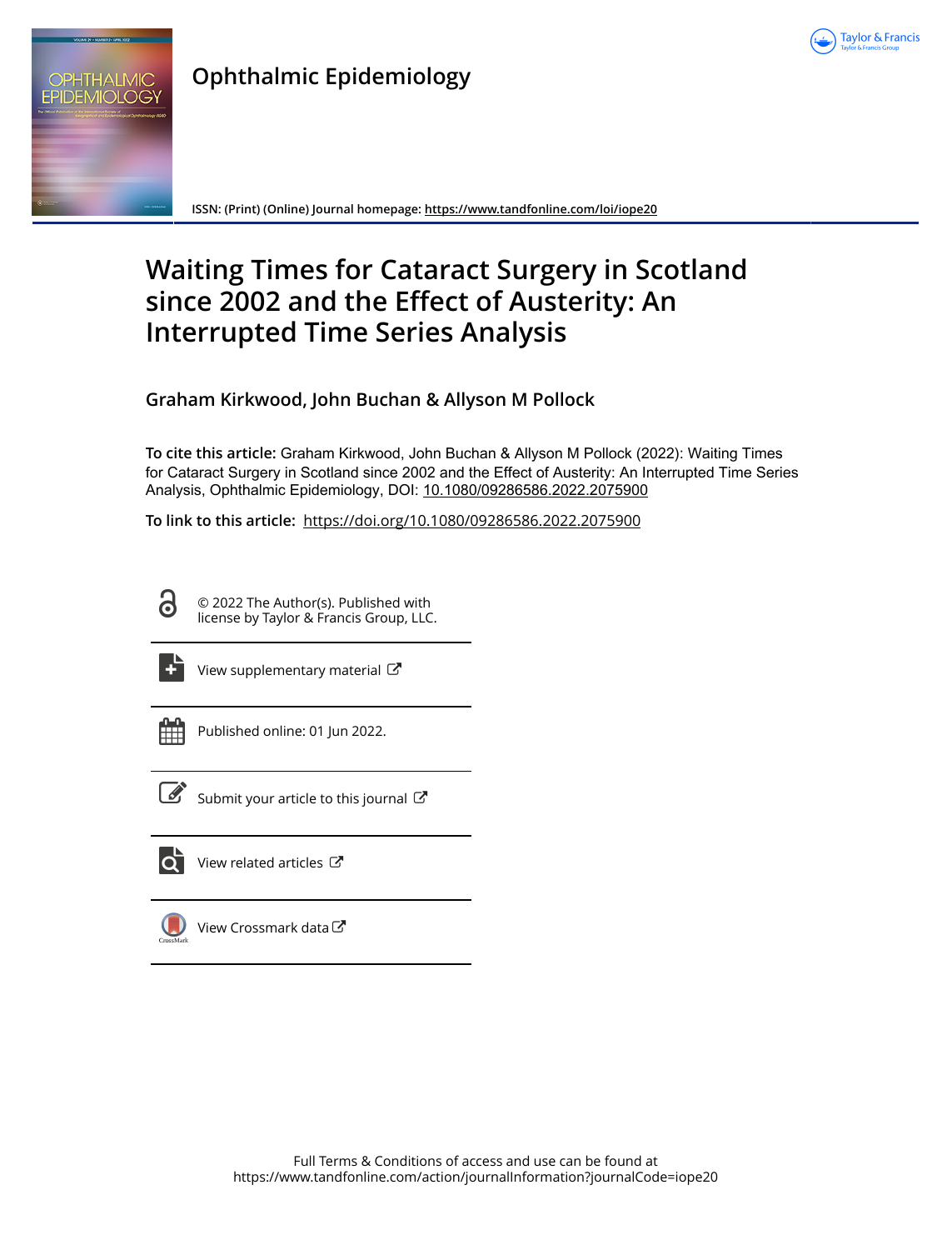

## **Ophthalmic Epidemiology** OPHTHALMIC **EPIDEMIOLOGY**

**ISSN: (Print) (Online) Journal homepage:<https://www.tandfonline.com/loi/iope20>**

# **Waiting Times for Cataract Surgery in Scotland since 2002 and the Effect of Austerity: An Interrupted Time Series Analysis**

**Graham Kirkwood, John Buchan & Allyson M Pollock**

**To cite this article:** Graham Kirkwood, John Buchan & Allyson M Pollock (2022): Waiting Times for Cataract Surgery in Scotland since 2002 and the Effect of Austerity: An Interrupted Time Series Analysis, Ophthalmic Epidemiology, DOI: [10.1080/09286586.2022.2075900](https://www.tandfonline.com/action/showCitFormats?doi=10.1080/09286586.2022.2075900)

**To link to this article:** <https://doi.org/10.1080/09286586.2022.2075900>

© 2022 The Author(s). Published with license by Taylor & Francis Group, LLC.



d

[View supplementary material](https://www.tandfonline.com/doi/suppl/10.1080/09286586.2022.2075900)  $\mathbb{Z}$ 



Published online: 01 Jun 2022.



 $\overrightarrow{S}$  [Submit your article to this journal](https://www.tandfonline.com/action/authorSubmission?journalCode=iope20&show=instructions)  $\overrightarrow{S}$ 



 $\bullet$  [View related articles](https://www.tandfonline.com/doi/mlt/10.1080/09286586.2022.2075900)  $\circ$ 



[View Crossmark data](http://crossmark.crossref.org/dialog/?doi=10.1080/09286586.2022.2075900&domain=pdf&date_stamp=2022-06-01) $\mathbb{Z}$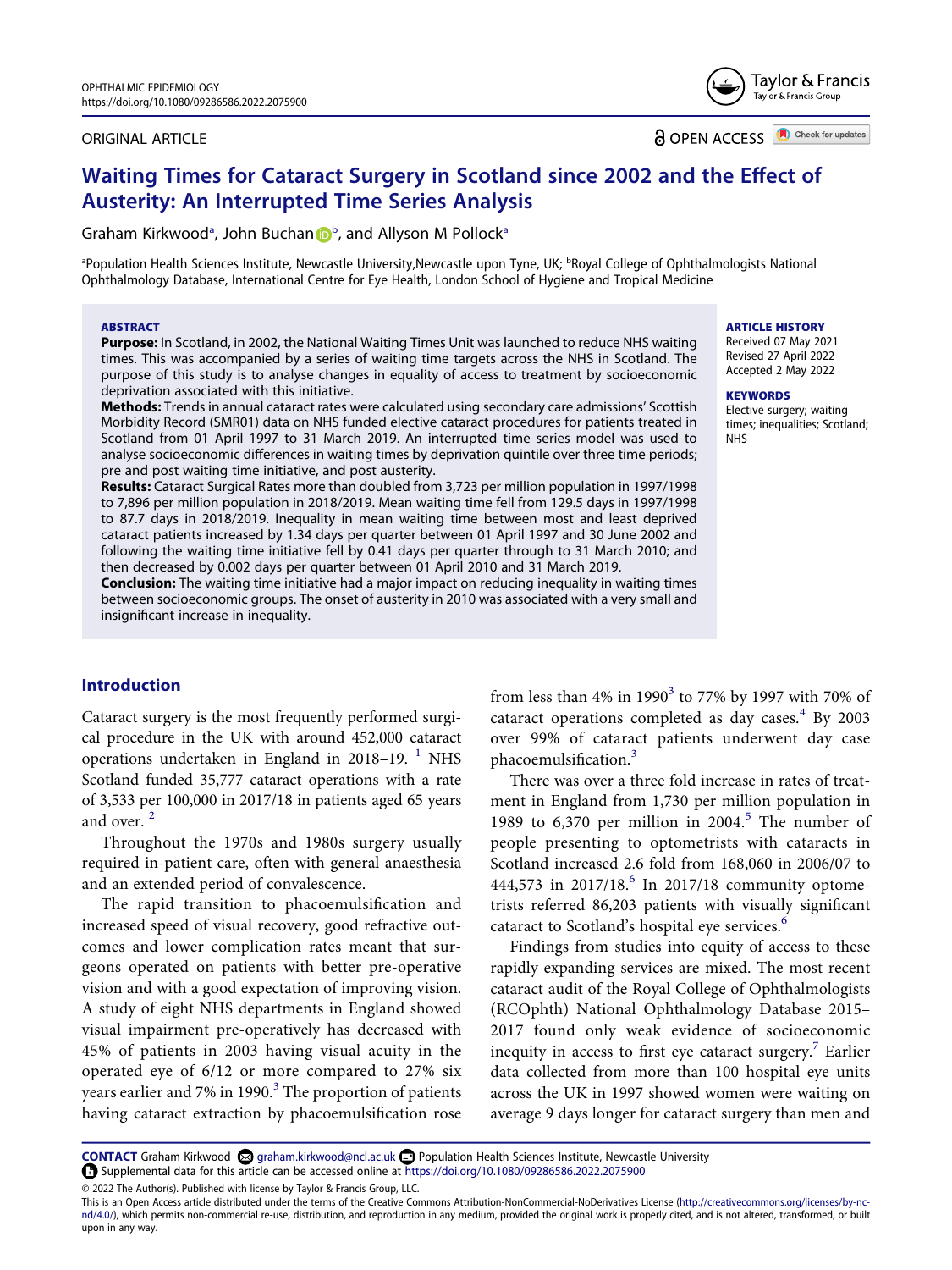#### ORIGINAL ARTICLE

Taylor & Francis Group

Taylor & Francis

**a** OPEN ACCESS **D** Check for updates

# **Waiting Times for Cataract Surgery in Scotland since 2002 and the Effect of Austerity: An Interrupted Time Series Analysis**

Gr[a](#page-1-0)ham Kirkwood<sup>a</sup>, Joh[n](http://orcid.org/0000-0003-1005-7011) Buchan D<sup>[b](#page-1-0)</sup>, and Allyson M Pollock<sup>a</sup>

<span id="page-1-0"></span><sup>a</sup>Population Health Sciences Institute, Newcastle University,Newcastle upon Tyne, UK; <sup>b</sup>Royal College of Ophthalmologists National Ophthalmology Database, International Centre for Eye Health, London School of Hygiene and Tropical Medicine

#### **ABSTRACT**

**Purpose:** In Scotland, in 2002, the National Waiting Times Unit was launched to reduce NHS waiting times. This was accompanied by a series of waiting time targets across the NHS in Scotland. The purpose of this study is to analyse changes in equality of access to treatment by socioeconomic deprivation associated with this initiative.

**Methods:** Trends in annual cataract rates were calculated using secondary care admissions' Scottish Morbidity Record (SMR01) data on NHS funded elective cataract procedures for patients treated in Scotland from 01 April 1997 to 31 March 2019. An interrupted time series model was used to analyse socioeconomic differences in waiting times by deprivation quintile over three time periods; pre and post waiting time initiative, and post austerity.

**Results:** Cataract Surgical Rates more than doubled from 3,723 per million population in 1997/1998 to 7,896 per million population in 2018/2019. Mean waiting time fell from 129.5 days in 1997/1998 to 87.7 days in 2018/2019. Inequality in mean waiting time between most and least deprived cataract patients increased by 1.34 days per quarter between 01 April 1997 and 30 June 2002 and following the waiting time initiative fell by 0.41 days per quarter through to 31 March 2010; and then decreased by 0.002 days per quarter between 01 April 2010 and 31 March 2019.

**Conclusion:** The waiting time initiative had a major impact on reducing inequality in waiting times between socioeconomic groups. The onset of austerity in 2010 was associated with a very small and insignificant increase in inequality.

#### **Introduction**

<span id="page-1-1"></span>Cataract surgery is the most frequently performed surgical procedure in the UK with around 452,000 cataract operations undertaken in England in 2018–19.  $<sup>1</sup>$  NHS</sup> Scotland funded 35,777 cataract operations with a rate of 3,533 per 100,000 in 2017/18 in patients aged 65 years and over.<sup>[2](#page-7-1)</sup>

<span id="page-1-2"></span>Throughout the 1970s and 1980s surgery usually required in-patient care, often with general anaesthesia and an extended period of convalescence.

The rapid transition to phacoemulsification and increased speed of visual recovery, good refractive outcomes and lower complication rates meant that surgeons operated on patients with better pre-operative vision and with a good expectation of improving vision. A study of eight NHS departments in England showed visual impairment pre-operatively has decreased with 45% of patients in 2003 having visual acuity in the operated eye of 6/12 or more compared to 27% six years earlier and 7% in 1990. $3$  The proportion of patients having cataract extraction by phacoemulsification rose

<span id="page-1-4"></span>from less than 4% in 1990<sup>3</sup> to 77% by 1997 with 70% of cataract operations completed as day cases. $4$  By 2003 over 99% of cataract patients underwent day case phacoemulsification.[3](#page-7-2)

<span id="page-1-5"></span><span id="page-1-3"></span>There was over a three fold increase in rates of treatment in England from 1,730 per million population in 1989 to  $6,370$  per million in  $2004$ <sup>5</sup>. The number of people presenting to optometrists with cataracts in Scotland increased 2.6 fold from 168,060 in 2006/07 to 444,573 in  $2017/18$ <sup>[6](#page-7-5)</sup> In 2017/18 community optometrists referred 86,203 patients with visually significant cataract to Scotland's hospital eye services.<sup>6</sup>

<span id="page-1-6"></span>Findings from studies into equity of access to these rapidly expanding services are mixed. The most recent cataract audit of the Royal College of Ophthalmologists (RCOphth) National Ophthalmology Database 2015– 2017 found only weak evidence of socioeconomic inequity in access to first eye cataract surgery.<sup>7</sup> Earlier data collected from more than 100 hospital eye units across the UK in 1997 showed women were waiting on average 9 days longer for cataract surgery than men and

CONTACT Graham Kirkwood @ graham.kirkwood@ncl.ac.uk **@** Population Health Sciences Institute, Newcastle University Supplemental data for this article can be accessed online at <https://doi.org/10.1080/09286586.2022.2075900>

© 2022 The Author(s). Published with license by Taylor & Francis Group, LLC.

#### **ARTICLE HISTORY**

Received 07 May 2021 Revised 27 April 2022 Accepted 2 May 2022

#### **KEYWORDS**

Elective surgery; waiting times; inequalities; Scotland; NHS

This is an Open Access article distributed under the terms of the Creative Commons Attribution-NonCommercial-NoDerivatives License (http://creativecommons.org/licenses/by-ncnd/4.0/), which permits non-commercial re-use, distribution, and reproduction in any medium, provided the original work is properly cited, and is not altered, transformed, or built upon in any way.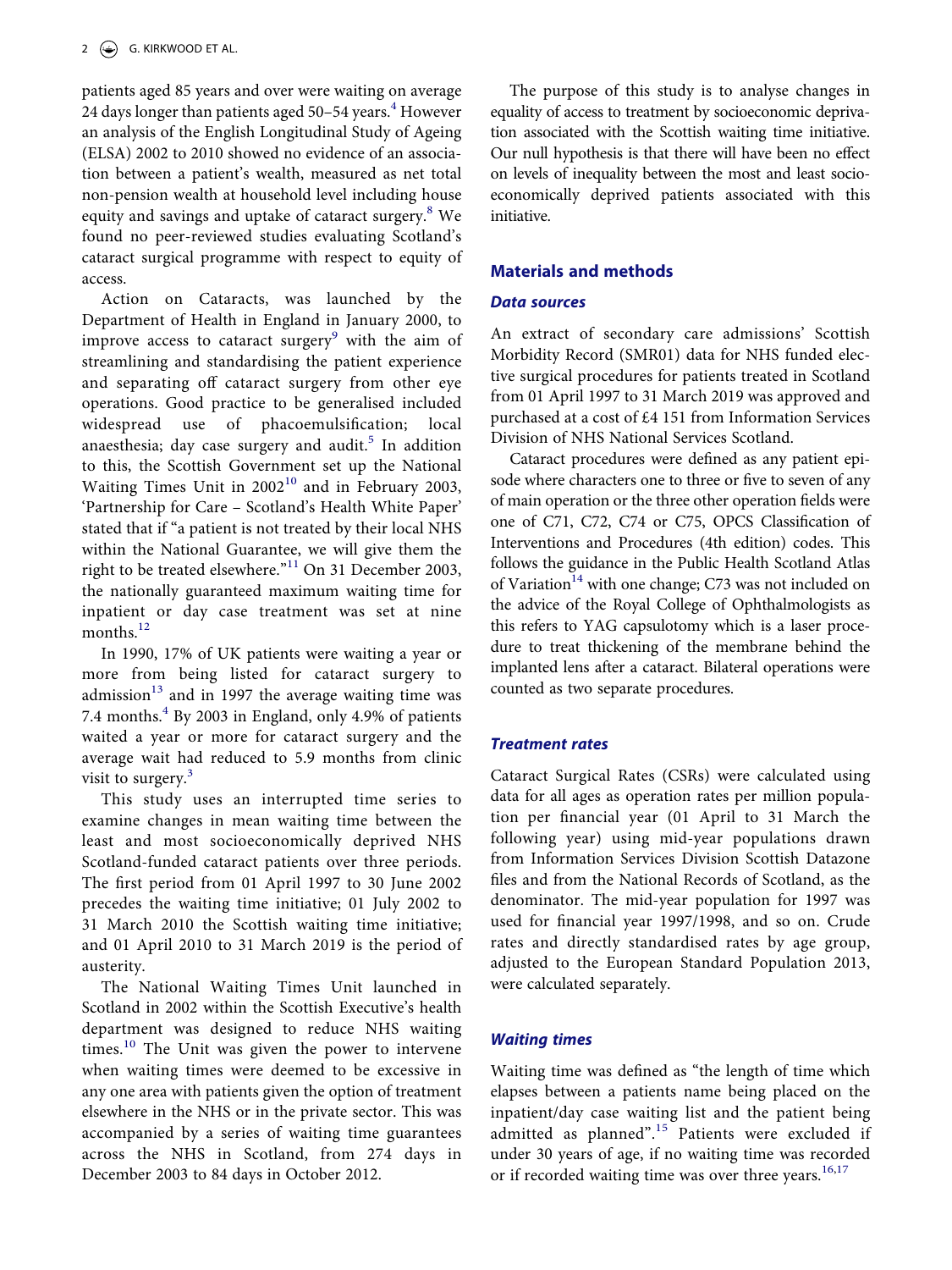patients aged 85 years and over were waiting on average 2[4](#page-7-3) days longer than patients aged  $50-54$  years.<sup>4</sup> However an analysis of the English Longitudinal Study of Ageing (ELSA) 2002 to 2010 showed no evidence of an association between a patient's wealth, measured as net total non-pension wealth at household level including house equity and savings and uptake of cataract surgery.<sup>8</sup> We found no peer-reviewed studies evaluating Scotland's cataract surgical programme with respect to equity of access.

<span id="page-2-1"></span><span id="page-2-0"></span>Action on Cataracts, was launched by the Department of Health in England in January 2000, to improve access to cataract surgery<sup>9</sup> with the aim of streamlining and standardising the patient experience and separating off cataract surgery from other eye operations. Good practice to be generalised included widespread use of phacoemulsification; local anaesthesia; day case surgery and audit.<sup>[5](#page-7-4)</sup> In addition to this, the Scottish Government set up the National Waiting Times Unit in  $2002^{10}$  $2002^{10}$  $2002^{10}$  and in February 2003, 'Partnership for Care – Scotland's Health White Paper' stated that if "a patient is not treated by their local NHS within the National Guarantee, we will give them the right to be treated elsewhere."<sup>11</sup> On 31 December 2003, the nationally guaranteed maximum waiting time for inpatient or day case treatment was set at nine months. $^{12}$  $^{12}$  $^{12}$ 

<span id="page-2-4"></span><span id="page-2-3"></span>In 1990, 17% of UK patients were waiting a year or more from being listed for cataract surgery to admission $13$  and in 1997 the average waiting time was 7[.4](#page-7-3) months. $4$  By 2003 in England, only 4.9% of patients waited a year or more for cataract surgery and the average wait had reduced to 5.9 months from clinic visit to surgery.<sup>[3](#page-7-2)</sup>

This study uses an interrupted time series to examine changes in mean waiting time between the least and most socioeconomically deprived NHS Scotland-funded cataract patients over three periods. The first period from 01 April 1997 to 30 June 2002 precedes the waiting time initiative; 01 July 2002 to 31 March 2010 the Scottish waiting time initiative; and 01 April 2010 to 31 March 2019 is the period of austerity.

<span id="page-2-2"></span>The National Waiting Times Unit launched in Scotland in 2002 within the Scottish Executive's health department was designed to reduce NHS waiting times.<sup>10</sup> The Unit was given the power to intervene when waiting times were deemed to be excessive in any one area with patients given the option of treatment elsewhere in the NHS or in the private sector. This was accompanied by a series of waiting time guarantees across the NHS in Scotland, from 274 days in December 2003 to 84 days in October 2012.

The purpose of this study is to analyse changes in equality of access to treatment by socioeconomic deprivation associated with the Scottish waiting time initiative. Our null hypothesis is that there will have been no effect on levels of inequality between the most and least socioeconomically deprived patients associated with this initiative.

#### **Materials and methods**

#### *Data sources*

An extract of secondary care admissions' Scottish Morbidity Record (SMR01) data for NHS funded elective surgical procedures for patients treated in Scotland from 01 April 1997 to 31 March 2019 was approved and purchased at a cost of £4 151 from Information Services Division of NHS National Services Scotland.

<span id="page-2-5"></span>Cataract procedures were defined as any patient episode where characters one to three or five to seven of any of main operation or the three other operation fields were one of C71, C72, C74 or C75, OPCS Classification of Interventions and Procedures (4th edition) codes. This follows the guidance in the Public Health Scotland Atlas of Variation<sup>14</sup> with one change; C73 was not included on the advice of the Royal College of Ophthalmologists as this refers to YAG capsulotomy which is a laser procedure to treat thickening of the membrane behind the implanted lens after a cataract. Bilateral operations were counted as two separate procedures.

#### *Treatment rates*

Cataract Surgical Rates (CSRs) were calculated using data for all ages as operation rates per million population per financial year (01 April to 31 March the following year) using mid-year populations drawn from Information Services Division Scottish Datazone files and from the National Records of Scotland, as the denominator. The mid-year population for 1997 was used for financial year 1997/1998, and so on. Crude rates and directly standardised rates by age group, adjusted to the European Standard Population 2013, were calculated separately.

#### *Waiting times*

<span id="page-2-6"></span>Waiting time was defined as "the length of time which elapses between a patients name being placed on the inpatient/day case waiting list and the patient being admitted as planned".<sup>15</sup> Patients were excluded if under 30 years of age, if no waiting time was recorded or if recorded waiting time was over three years.<sup>[16](#page-7-15),[17](#page-7-16)</sup>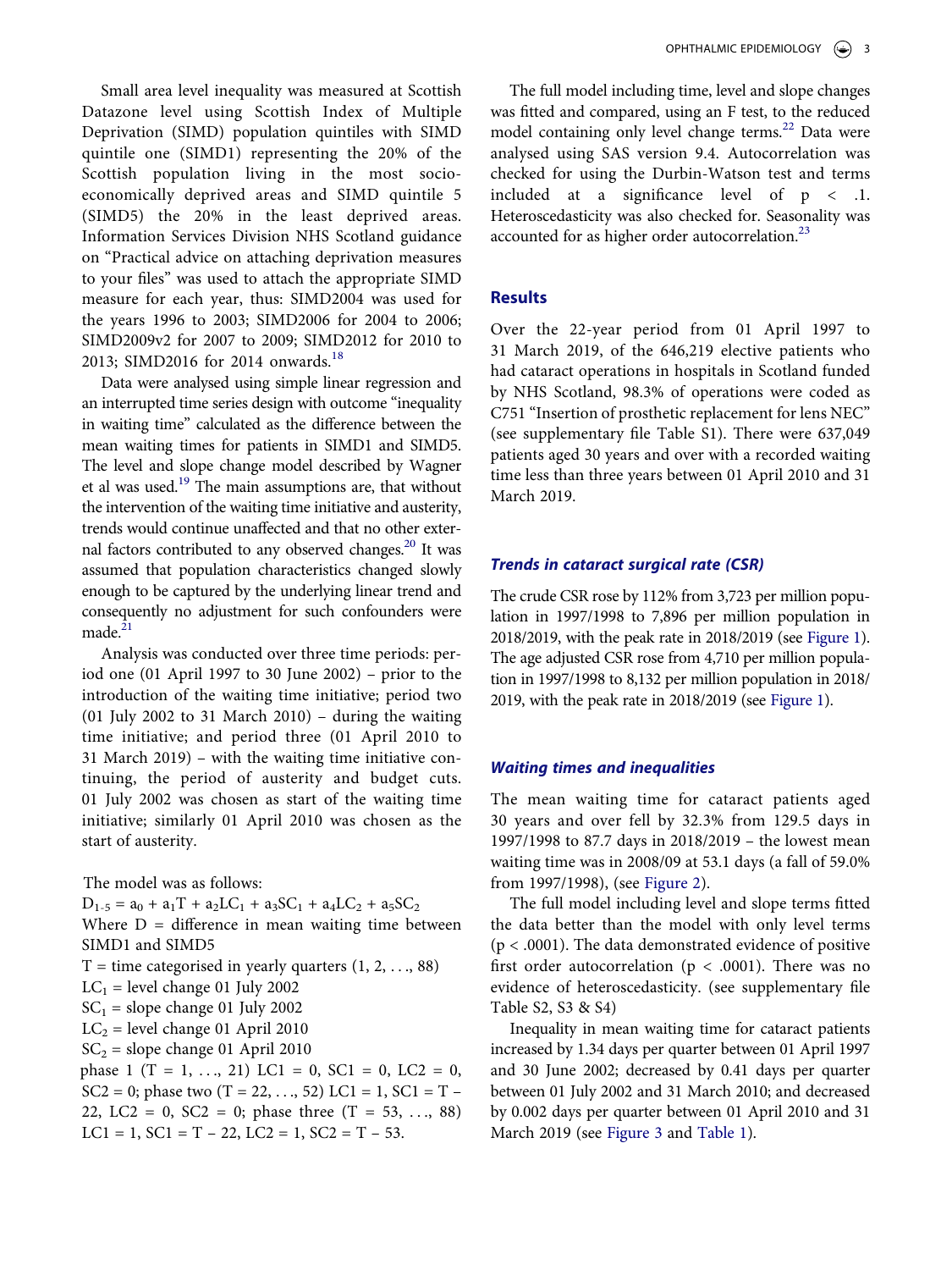Small area level inequality was measured at Scottish Datazone level using Scottish Index of Multiple Deprivation (SIMD) population quintiles with SIMD quintile one (SIMD1) representing the 20% of the Scottish population living in the most socioeconomically deprived areas and SIMD quintile 5 (SIMD5) the 20% in the least deprived areas. Information Services Division NHS Scotland guidance on "Practical advice on attaching deprivation measures to your files" was used to attach the appropriate SIMD measure for each year, thus: SIMD2004 was used for the years 1996 to 2003; SIMD2006 for 2004 to 2006; SIMD2009v2 for 2007 to 2009; SIMD2012 for 2010 to 2013; SIMD2016 for 2014 onwards.<sup>[18](#page-7-17)</sup>

<span id="page-3-1"></span><span id="page-3-0"></span>Data were analysed using simple linear regression and an interrupted time series design with outcome "inequality in waiting time" calculated as the difference between the mean waiting times for patients in SIMD1 and SIMD5. The level and slope change model described by Wagner et al was used.<sup>19</sup> The main assumptions are, that without the intervention of the waiting time initiative and austerity, trends would continue unaffected and that no other external factors contributed to any observed changes.<sup>20</sup> It was assumed that population characteristics changed slowly enough to be captured by the underlying linear trend and consequently no adjustment for such confounders were  $made.<sup>21</sup>$  $made.<sup>21</sup>$  $made.<sup>21</sup>$ 

<span id="page-3-3"></span><span id="page-3-2"></span>Analysis was conducted over three time periods: period one (01 April 1997 to 30 June 2002) – prior to the introduction of the waiting time initiative; period two (01 July 2002 to 31 March 2010) – during the waiting time initiative; and period three (01 April 2010 to 31 March 2019) – with the waiting time initiative continuing, the period of austerity and budget cuts. 01 July 2002 was chosen as start of the waiting time initiative; similarly 01 April 2010 was chosen as the start of austerity.

The model was as follows:

 $D_{1-5} = a_0 + a_1T + a_2LC_1 + a_3SC_1 + a_4LC_2 + a_5SC_2$ Where  $D =$  difference in mean waiting time between SIMD1 and SIMD5  $T =$  time categorised in yearly quarters  $(1, 2, \ldots, 88)$  $LC_1$  = level change 01 July 2002  $SC<sub>1</sub>$  = slope change 01 July 2002  $LC_2$  = level change 01 April 2010  $SC<sub>2</sub> = slope change 01 April 2010$ phase 1 (T = 1, ..., 21) LC1 = 0, SC1 = 0, LC2 = 0, SC2 = 0; phase two  $(T = 22, ..., 52)$  LC1 = 1, SC1 = T – 22, LC2 = 0, SC2 = 0; phase three  $(T = 53, ..., 88)$ LC1 = 1, SC1 = T – 22, LC2 = 1, SC2 = T – 53.

<span id="page-3-4"></span>The full model including time, level and slope changes was fitted and compared, using an F test, to the reduced model containing only level change terms.<sup>22</sup> Data were analysed using SAS version 9.4. Autocorrelation was checked for using the Durbin-Watson test and terms included at a significance level of p < .1. Heteroscedasticity was also checked for. Seasonality was accounted for as higher order autocorrelation.<sup>23</sup>

### **Results**

Over the 22-year period from 01 April 1997 to 31 March 2019, of the 646,219 elective patients who had cataract operations in hospitals in Scotland funded by NHS Scotland, 98.3% of operations were coded as C751 "Insertion of prosthetic replacement for lens NEC" (see supplementary file Table S1). There were 637,049 patients aged 30 years and over with a recorded waiting time less than three years between 01 April 2010 and 31 March 2019.

#### *Trends in cataract surgical rate (CSR)*

The crude CSR rose by 112% from 3,723 per million population in 1997/1998 to 7,896 per million population in 2018/2019, with the peak rate in 2018/2019 (see [Figure 1](#page-4-0)). The age adjusted CSR rose from 4,710 per million population in 1997/1998 to 8,132 per million population in 2018/ 2019, with the peak rate in 2018/2019 (see [Figure 1](#page-4-0)).

#### *Waiting times and inequalities*

The mean waiting time for cataract patients aged 30 years and over fell by 32.3% from 129.5 days in 1997/1998 to 87.7 days in 2018/2019 – the lowest mean waiting time was in 2008/09 at 53.1 days (a fall of 59.0% from 1997/1998), (see [Figure 2](#page-4-1)).

The full model including level and slope terms fitted the data better than the model with only level terms (p < .0001). The data demonstrated evidence of positive first order autocorrelation ( $p < .0001$ ). There was no evidence of heteroscedasticity. (see supplementary file Table S2, S3 & S4)

Inequality in mean waiting time for cataract patients increased by 1.34 days per quarter between 01 April 1997 and 30 June 2002; decreased by 0.41 days per quarter between 01 July 2002 and 31 March 2010; and decreased by 0.002 days per quarter between 01 April 2010 and 31 March 2019 (see [Figure 3](#page-5-0) and [Table 1](#page-5-1)).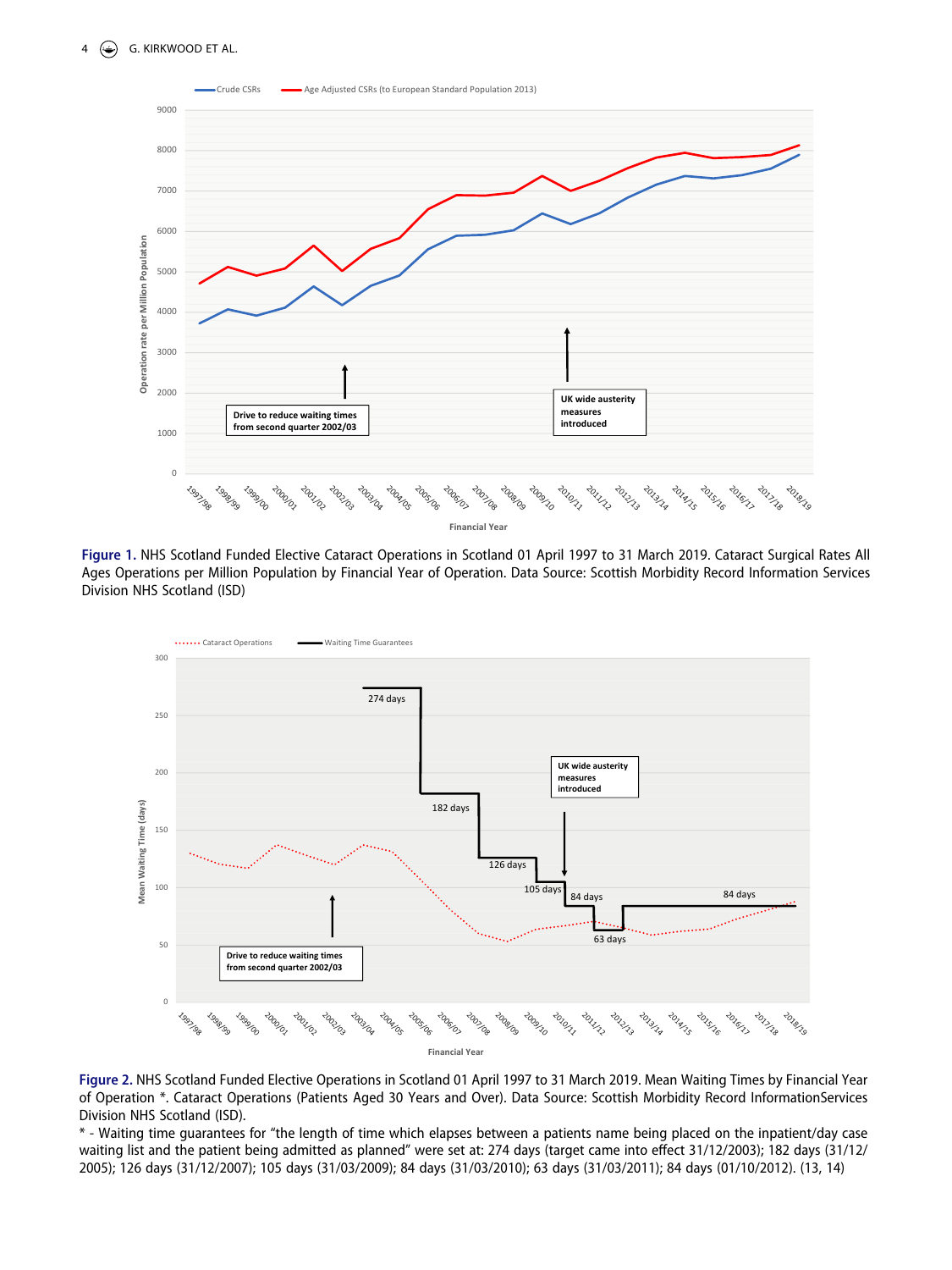<span id="page-4-0"></span>

**Figure 1.** NHS Scotland Funded Elective Cataract Operations in Scotland 01 April 1997 to 31 March 2019. Cataract Surgical Rates All Ages Operations per Million Population by Financial Year of Operation. Data Source: Scottish Morbidity Record Information Services Division NHS Scotland (ISD)

<span id="page-4-1"></span>

**Figure 2.** NHS Scotland Funded Elective Operations in Scotland 01 April 1997 to 31 March 2019. Mean Waiting Times by Financial Year of Operation \*. Cataract Operations (Patients Aged 30 Years and Over). Data Source: Scottish Morbidity Record InformationServices Division NHS Scotland (ISD).

\* - Waiting time guarantees for "the length of time which elapses between a patients name being placed on the inpatient/day case waiting list and the patient being admitted as planned" were set at: 274 days (target came into effect 31/12/2003); 182 days (31/12/ 2005); 126 days (31/12/2007); 105 days (31/03/2009); 84 days (31/03/2010); 63 days (31/03/2011); 84 days (01/10/2012). (13, 14)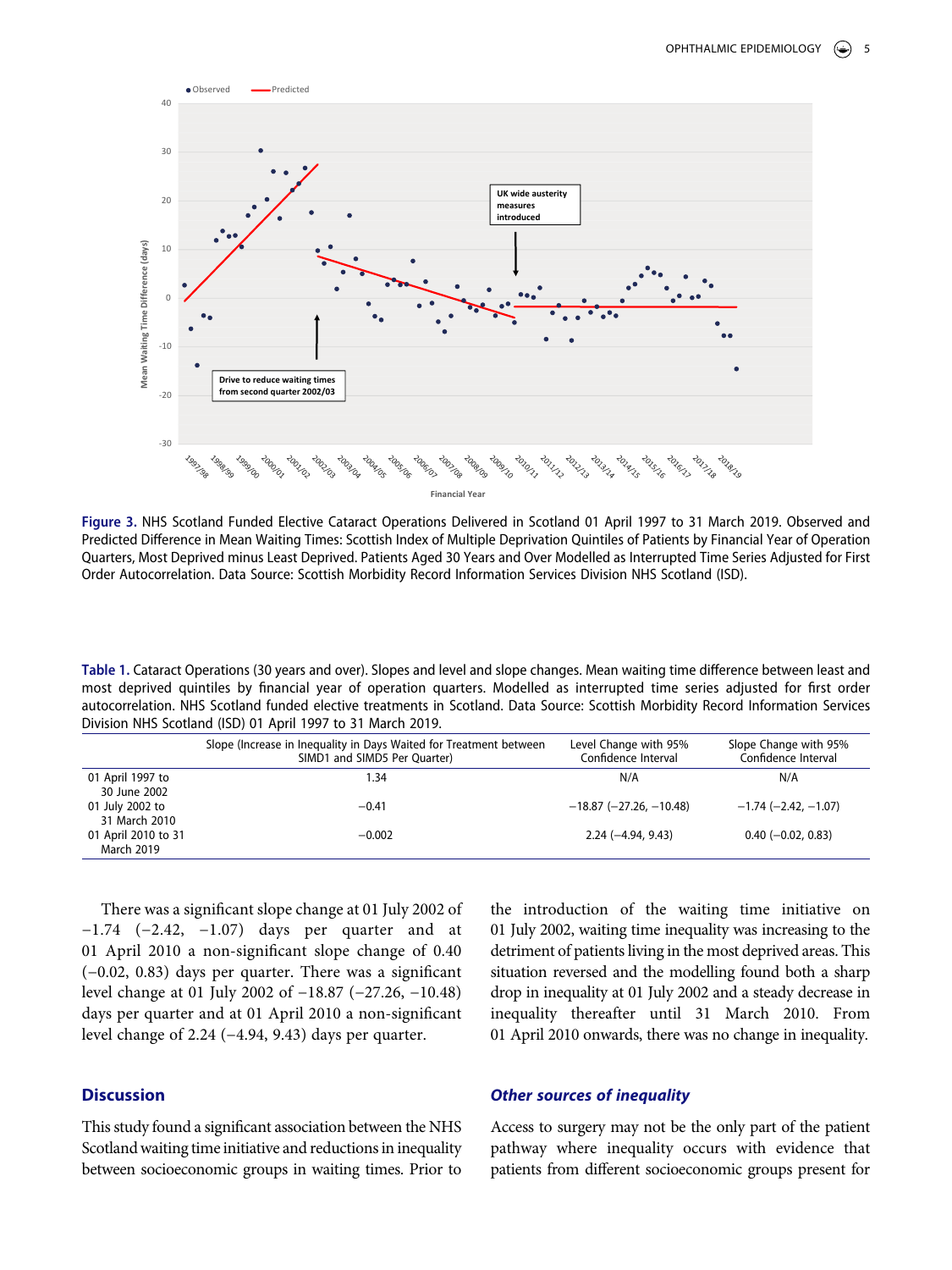<span id="page-5-0"></span>

**Figure 3.** NHS Scotland Funded Elective Cataract Operations Delivered in Scotland 01 April 1997 to 31 March 2019. Observed and Predicted Difference in Mean Waiting Times: Scottish Index of Multiple Deprivation Quintiles of Patients by Financial Year of Operation Quarters, Most Deprived minus Least Deprived. Patients Aged 30 Years and Over Modelled as Interrupted Time Series Adjusted for First Order Autocorrelation. Data Source: Scottish Morbidity Record Information Services Division NHS Scotland (ISD).

<span id="page-5-1"></span>**Table 1.** Cataract Operations (30 years and over). Slopes and level and slope changes. Mean waiting time difference between least and most deprived quintiles by financial year of operation quarters. Modelled as interrupted time series adjusted for first order autocorrelation. NHS Scotland funded elective treatments in Scotland. Data Source: Scottish Morbidity Record Information Services Division NHS Scotland (ISD) 01 April 1997 to 31 March 2019.

|                                          | Slope (Increase in Inequality in Days Waited for Treatment between<br>SIMD1 and SIMD5 Per Quarter) | Level Change with 95%<br>Confidence Interval | Slope Change with 95%<br>Confidence Interval |
|------------------------------------------|----------------------------------------------------------------------------------------------------|----------------------------------------------|----------------------------------------------|
| 01 April 1997 to<br>30 June 2002         | 1.34                                                                                               | N/A                                          | N/A                                          |
| 01 July 2002 to<br>31 March 2010         | $-0.41$                                                                                            | $-18.87$ ( $-27.26$ , $-10.48$ )             | $-1.74$ ( $-2.42$ , $-1.07$ )                |
| 01 April 2010 to 31<br><b>March 2019</b> | $-0.002$                                                                                           | $2.24 (-4.94, 9.43)$                         | $0.40$ (-0.02, 0.83)                         |

There was a significant slope change at 01 July 2002 of −1.74 (−2.42, −1.07) days per quarter and at 01 April 2010 a non-significant slope change of 0.40 (−0.02, 0.83) days per quarter. There was a significant level change at 01 July 2002 of −18.87 (−27.26, −10.48) days per quarter and at 01 April 2010 a non-significant level change of 2.24 (−4.94, 9.43) days per quarter.

#### **Discussion**

This study found a significant association between the NHS Scotland waiting time initiative and reductions in inequality between socioeconomic groups in waiting times. Prior to

the introduction of the waiting time initiative on 01 July 2002, waiting time inequality was increasing to the detriment of patients living in the most deprived areas. This situation reversed and the modelling found both a sharp drop in inequality at 01 July 2002 and a steady decrease in inequality thereafter until 31 March 2010. From 01 April 2010 onwards, there was no change in inequality.

#### *Other sources of inequality*

Access to surgery may not be the only part of the patient pathway where inequality occurs with evidence that patients from different socioeconomic groups present for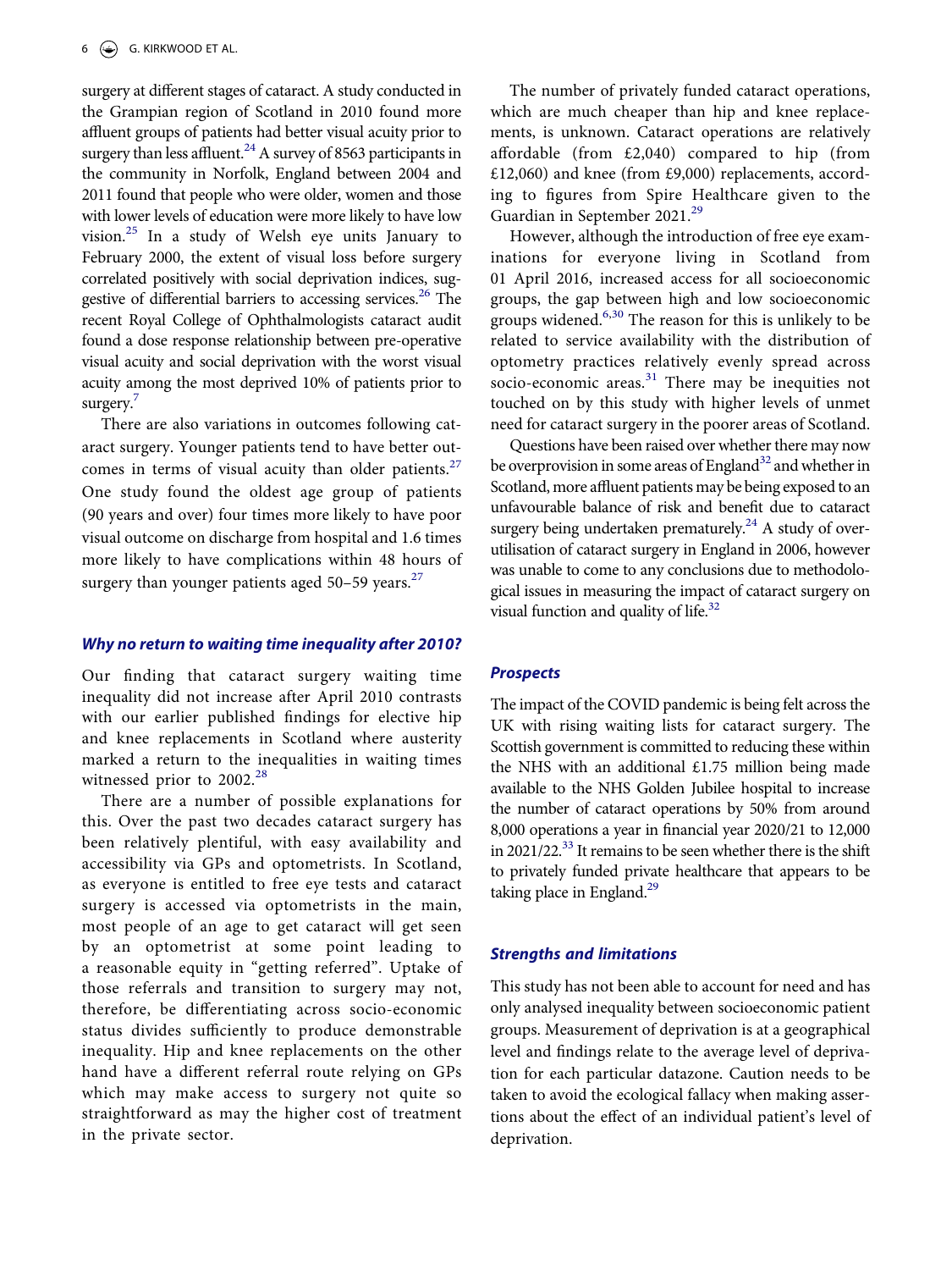<span id="page-6-1"></span>surgery at different stages of cataract. A study conducted in the Grampian region of Scotland in 2010 found more affluent groups of patients had better visual acuity prior to surgery than less affluent.<sup>24</sup> A survey of 8563 participants in the community in Norfolk, England between 2004 and 2011 found that people who were older, women and those with lower levels of education were more likely to have low vision[.25](#page-8-4) In a study of Welsh eye units January to February 2000, the extent of visual loss before surgery correlated positively with social deprivation indices, suggestive of differential barriers to accessing services.<sup>26</sup> The recent Royal College of Ophthalmologists cataract audit found a dose response relationship between pre-operative visual acuity and social deprivation with the worst visual acuity among the most deprived 10% of patients prior to surgery.

<span id="page-6-2"></span>There are also variations in outcomes following cataract surgery. Younger patients tend to have better outcomes in terms of visual acuity than older patients. $27$ One study found the oldest age group of patients (90 years and over) four times more likely to have poor visual outcome on discharge from hospital and 1.6 times more likely to have complications within 48 hours of surgery than younger patients aged  $50-59$  years.<sup>[27](#page-8-6)</sup>

### <span id="page-6-3"></span>*Why no return to waiting time inequality after 2010?*

Our finding that cataract surgery waiting time inequality did not increase after April 2010 contrasts with our earlier published findings for elective hip and knee replacements in Scotland where austerity marked a return to the inequalities in waiting times witnessed prior to  $2002.^{28}$  $2002.^{28}$  $2002.^{28}$ 

<span id="page-6-4"></span>There are a number of possible explanations for this. Over the past two decades cataract surgery has been relatively plentiful, with easy availability and accessibility via GPs and optometrists. In Scotland, as everyone is entitled to free eye tests and cataract surgery is accessed via optometrists in the main, most people of an age to get cataract will get seen by an optometrist at some point leading to a reasonable equity in "getting referred". Uptake of those referrals and transition to surgery may not, therefore, be differentiating across socio-economic status divides sufficiently to produce demonstrable inequality. Hip and knee replacements on the other hand have a different referral route relying on GPs which may make access to surgery not quite so straightforward as may the higher cost of treatment in the private sector.

The number of privately funded cataract operations, which are much cheaper than hip and knee replacements, is unknown. Cataract operations are relatively affordable (from £2,040) compared to hip (from £12,060) and knee (from £9,000) replacements, according to figures from Spire Healthcare given to the Guardian in September 2021.<sup>[29](#page-8-8)</sup>

<span id="page-6-5"></span>However, although the introduction of free eye examinations for everyone living in Scotland from 01 April 2016, increased access for all socioeconomic groups, the gap between high and low socioeconomic groups widened.<sup>6,[30](#page-8-9)</sup> The reason for this is unlikely to be related to service availability with the distribution of optometry practices relatively evenly spread across socio-economic areas.<sup>[31](#page-8-10)</sup> There may be inequities not touched on by this study with higher levels of unmet need for cataract surgery in the poorer areas of Scotland.

<span id="page-6-6"></span><span id="page-6-0"></span>Questions have been raised over whether there may now be overprovision in some areas of England<sup>32</sup> and whether in Scotland, more affluent patients may be being exposed to an unfavourable balance of risk and benefit due to cataract surgery being undertaken prematurely.<sup>24</sup> A study of overutilisation of cataract surgery in England in 2006, however was unable to come to any conclusions due to methodological issues in measuring the impact of cataract surgery on visual function and quality of life.<sup>32</sup>

#### <span id="page-6-7"></span>*Prospects*

The impact of the COVID pandemic is being felt across the UK with rising waiting lists for cataract surgery. The Scottish government is committed to reducing these within the NHS with an additional  $£1.75$  million being made available to the NHS Golden Jubilee hospital to increase the number of cataract operations by 50% from around 8,000 operations a year in financial year 2020/21 to 12,000 in 2021/22. $^{33}$  It remains to be seen whether there is the shift to privately funded private healthcare that appears to be taking place in England. $^{29}$  $^{29}$  $^{29}$ 

#### *Strengths and limitations*

This study has not been able to account for need and has only analysed inequality between socioeconomic patient groups. Measurement of deprivation is at a geographical level and findings relate to the average level of deprivation for each particular datazone. Caution needs to be taken to avoid the ecological fallacy when making assertions about the effect of an individual patient's level of deprivation.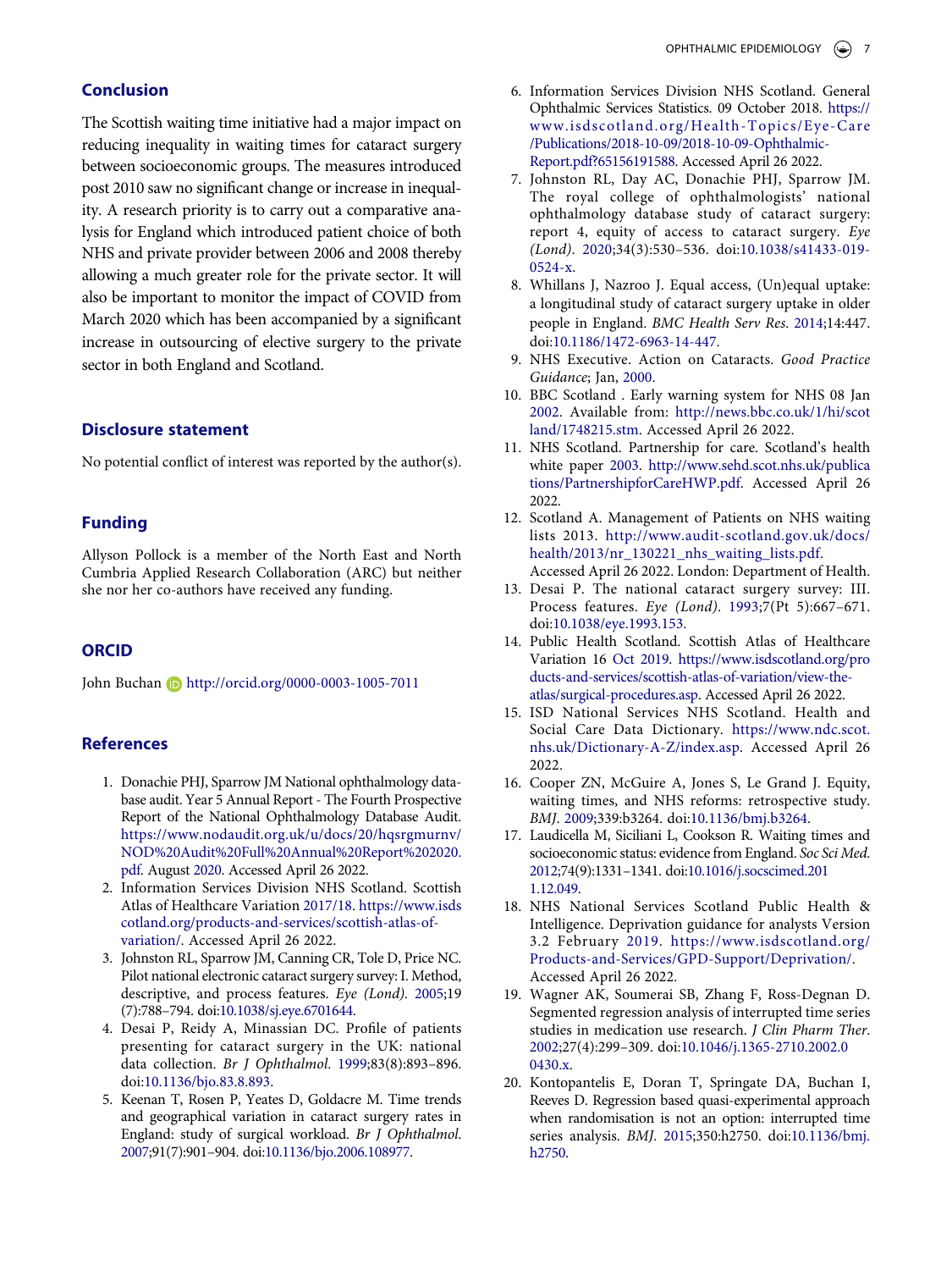## **Conclusion**

The Scottish waiting time initiative had a major impact on reducing inequality in waiting times for cataract surgery between socioeconomic groups. The measures introduced post 2010 saw no significant change or increase in inequality. A research priority is to carry out a comparative analysis for England which introduced patient choice of both NHS and private provider between 2006 and 2008 thereby allowing a much greater role for the private sector. It will also be important to monitor the impact of COVID from March 2020 which has been accompanied by a significant increase in outsourcing of elective surgery to the private sector in both England and Scotland.

#### **Disclosure statement**

No potential conflict of interest was reported by the author(s).

#### **Funding**

Allyson Pollock is a member of the North East and North Cumbria Applied Research Collaboration (ARC) but neither she nor her co-authors have received any funding.

#### **ORCID**

John Buchan (D http://orcid.org/0000-0003-1005-7011

#### **References**

- <span id="page-7-0"></span>1. Donachie PHJ, Sparrow JM National ophthalmology database audit. Year 5 Annual Report - The Fourth Prospective Report of the National Ophthalmology Database Audit. [https://www.nodaudit.org.uk/u/docs/20/hqsrgmurnv/](https://www.nodaudit.org.uk/u/docs/20/hqsrgmurnv/NOD%20Audit%20Full%20Annual%20Report%202020.pdf) [NOD%20Audit%20Full%20Annual%20Report%202020.](https://www.nodaudit.org.uk/u/docs/20/hqsrgmurnv/NOD%20Audit%20Full%20Annual%20Report%202020.pdf)  [pdf.](https://www.nodaudit.org.uk/u/docs/20/hqsrgmurnv/NOD%20Audit%20Full%20Annual%20Report%202020.pdf) August [2020](#page-1-1). Accessed April 26 2022.
- <span id="page-7-1"></span>2. Information Services Division NHS Scotland. Scottish Atlas of Healthcare Variation [2017/18.](#page-1-2) [https://www.isds](https://www.isdscotland.org/products-and-services/scottish-atlas-of-variation/) [cotland.org/products-and-services/scottish-atlas-of](https://www.isdscotland.org/products-and-services/scottish-atlas-of-variation/)[variation/.](https://www.isdscotland.org/products-and-services/scottish-atlas-of-variation/) Accessed April 26 2022.
- <span id="page-7-2"></span>3. Johnston RL, Sparrow JM, Canning CR, Tole D, Price NC. Pilot national electronic cataract surgery survey: I. Method, descriptive, and process features. *Eye (Lond)*. [2005;](#page-1-3)19 (7):788–794. doi:[10.1038/sj.eye.6701644](https://doi.org/10.1038/sj.eye.6701644).
- <span id="page-7-3"></span>4. Desai P, Reidy A, Minassian DC. Profile of patients presenting for cataract surgery in the UK: national data collection. *Br J Ophthalmol*. [1999;](#page-1-4)83(8):893–896. doi:[10.1136/bjo.83.8.893.](https://doi.org/10.1136/bjo.83.8.893)
- <span id="page-7-4"></span>5. Keenan T, Rosen P, Yeates D, Goldacre M. Time trends and geographical variation in cataract surgery rates in England: study of surgical workload. *Br J Ophthalmol*. [2007;](#page-1-5)91(7):901–904. doi:[10.1136/bjo.2006.108977.](https://doi.org/10.1136/bjo.2006.108977)
- <span id="page-7-5"></span>6. Information Services Division NHS Scotland. General Ophthalmic Services Statistics. 09 October 2018. [https://](https://www.isdscotland.org/Health-Topics/Eye-Care/Publications/2018-10-09/2018-10-09-Ophthalmic-Report.pdf?65156191588)  [www.isdscotland.org/Health-Topics/Eye-Care](https://www.isdscotland.org/Health-Topics/Eye-Care/Publications/2018-10-09/2018-10-09-Ophthalmic-Report.pdf?65156191588)  [/Publications/2018-10-09/2018-10-09-Ophthalmic-](https://www.isdscotland.org/Health-Topics/Eye-Care/Publications/2018-10-09/2018-10-09-Ophthalmic-Report.pdf?65156191588)[Report.pdf?65156191588](https://www.isdscotland.org/Health-Topics/Eye-Care/Publications/2018-10-09/2018-10-09-Ophthalmic-Report.pdf?65156191588). Accessed April 26 2022.
- <span id="page-7-6"></span>7. Johnston RL, Day AC, Donachie PHJ, Sparrow JM. The royal college of ophthalmologists' national ophthalmology database study of cataract surgery: report 4, equity of access to cataract surgery. *Eye (Lond)*. [2020](#page-1-6);34(3):530–536. doi:[10.1038/s41433-019-](https://doi.org/10.1038/s41433-019-0524-x) [0524-x](https://doi.org/10.1038/s41433-019-0524-x).
- <span id="page-7-7"></span>8. Whillans J, Nazroo J. Equal access, (Un)equal uptake: a longitudinal study of cataract surgery uptake in older people in England. *BMC Health Serv Res*. [2014;](#page-2-0)14:447. doi:[10.1186/1472-6963-14-447](https://doi.org/10.1186/1472-6963-14-447).
- <span id="page-7-8"></span>9. NHS Executive. Action on Cataracts. *Good Practice Guidance*; Jan, [2000.](#page-2-1)
- <span id="page-7-9"></span>10. BBC Scotland . Early warning system for NHS 08 Jan [2002.](#page-2-2) Available from: [http://news.bbc.co.uk/1/hi/scot](http://news.bbc.co.uk/1/hi/scotland/1748215.stm) [land/1748215.stm.](http://news.bbc.co.uk/1/hi/scotland/1748215.stm) Accessed April 26 2022.
- <span id="page-7-10"></span>11. NHS Scotland. Partnership for care. Scotland's health white paper [2003.](#page-2-3) [http://www.sehd.scot.nhs.uk/publica](http://www.sehd.scot.nhs.uk/publications/PartnershipforCareHWP.pdf)  [tions/PartnershipforCareHWP.pdf.](http://www.sehd.scot.nhs.uk/publications/PartnershipforCareHWP.pdf) Accessed April 26 2022.
- <span id="page-7-11"></span>12. Scotland A. Management of Patients on NHS waiting lists 2013. [http://www.audit-scotland.gov.uk/docs/](http://www.audit-scotland.gov.uk/docs/health/2013/nr_130221_nhs_waiting_lists.pdf) [health/2013/nr\\_130221\\_nhs\\_waiting\\_lists.pdf.](http://www.audit-scotland.gov.uk/docs/health/2013/nr_130221_nhs_waiting_lists.pdf) Accessed April 26 2022. London: Department of Health.
- <span id="page-7-12"></span>13. Desai P. The national cataract surgery survey: III. Process features. *Eye (Lond)*. [1993](#page-2-4);7(Pt 5):667–671. doi:[10.1038/eye.1993.153](https://doi.org/10.1038/eye.1993.153).
- <span id="page-7-13"></span>14. Public Health Scotland. Scottish Atlas of Healthcare Variation 16 [Oct 2019](#page-2-5). [https://www.isdscotland.org/pro](https://www.isdscotland.org/products-and-services/scottish-atlas-of-variation/view-the-atlas/surgical-procedures.asp)  [ducts-and-services/scottish-atlas-of-variation/view-the](https://www.isdscotland.org/products-and-services/scottish-atlas-of-variation/view-the-atlas/surgical-procedures.asp)[atlas/surgical-procedures.asp.](https://www.isdscotland.org/products-and-services/scottish-atlas-of-variation/view-the-atlas/surgical-procedures.asp) Accessed April 26 2022.
- <span id="page-7-14"></span>15. ISD National Services NHS Scotland. Health and Social Care Data Dictionary. [https://www.ndc.scot.](https://www.ndc.scot.nhs.uk/Dictionary-A-Z/index.asp) [nhs.uk/Dictionary-A-Z/index.asp.](https://www.ndc.scot.nhs.uk/Dictionary-A-Z/index.asp) Accessed April 26 2022.
- <span id="page-7-15"></span>16. Cooper ZN, McGuire A, Jones S, Le Grand J. Equity, waiting times, and NHS reforms: retrospective study. *BMJ*. [2009](#page-2-6);339:b3264. doi:[10.1136/bmj.b3264.](https://doi.org/10.1136/bmj.b3264)
- <span id="page-7-16"></span>17. Laudicella M, Siciliani L, Cookson R. Waiting times and socioeconomic status: evidence from England. *Soc Sci Med*. [2012;](#page-2-6)74(9):1331–1341. doi:[10.1016/j.socscimed.201](https://doi.org/10.1016/j.socscimed.2011.12.049) [1.12.049.](https://doi.org/10.1016/j.socscimed.2011.12.049)
- <span id="page-7-17"></span>18. NHS National Services Scotland Public Health & Intelligence. Deprivation guidance for analysts Version 3.2 February [2019](#page-3-0). [https://www.isdscotland.org/](https://www.isdscotland.org/Products-and-Services/GPD-Support/Deprivation/)  [Products-and-Services/GPD-Support/Deprivation/.](https://www.isdscotland.org/Products-and-Services/GPD-Support/Deprivation/) Accessed April 26 2022.
- <span id="page-7-18"></span>19. Wagner AK, Soumerai SB, Zhang F, Ross-Degnan D. Segmented regression analysis of interrupted time series studies in medication use research. *J Clin Pharm Ther*. [2002;](#page-3-1)27(4):299–309. doi:[10.1046/j.1365-2710.2002.0](https://doi.org/10.1046/j.1365-2710.2002.00430.x) [0430.x](https://doi.org/10.1046/j.1365-2710.2002.00430.x).
- <span id="page-7-19"></span>20. Kontopantelis E, Doran T, Springate DA, Buchan I, Reeves D. Regression based quasi-experimental approach when randomisation is not an option: interrupted time series analysis. *BMJ*. [2015](#page-3-2);350:h2750. doi:[10.1136/bmj.](https://doi.org/10.1136/bmj.h2750)  [h2750.](https://doi.org/10.1136/bmj.h2750)